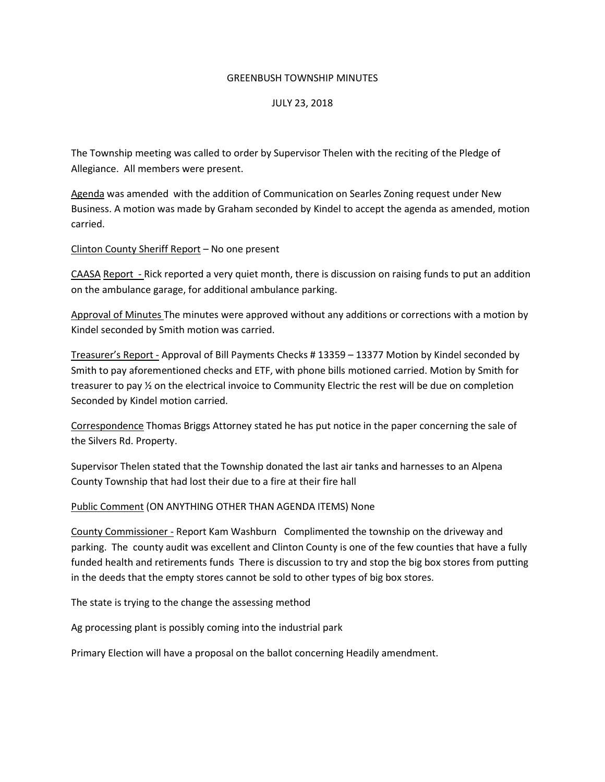#### GREENBUSH TOWNSHIP MINUTES

### JULY 23, 2018

The Township meeting was called to order by Supervisor Thelen with the reciting of the Pledge of Allegiance. All members were present.

Agenda was amended with the addition of Communication on Searles Zoning request under New Business. A motion was made by Graham seconded by Kindel to accept the agenda as amended, motion carried.

Clinton County Sheriff Report – No one present

CAASA Report - Rick reported a very quiet month, there is discussion on raising funds to put an addition on the ambulance garage, for additional ambulance parking.

Approval of Minutes The minutes were approved without any additions or corrections with a motion by Kindel seconded by Smith motion was carried.

Treasurer's Report - Approval of Bill Payments Checks # 13359 – 13377 Motion by Kindel seconded by Smith to pay aforementioned checks and ETF, with phone bills motioned carried. Motion by Smith for treasurer to pay ½ on the electrical invoice to Community Electric the rest will be due on completion Seconded by Kindel motion carried.

Correspondence Thomas Briggs Attorney stated he has put notice in the paper concerning the sale of the Silvers Rd. Property.

Supervisor Thelen stated that the Township donated the last air tanks and harnesses to an Alpena County Township that had lost their due to a fire at their fire hall

Public Comment (ON ANYTHING OTHER THAN AGENDA ITEMS) None

County Commissioner - Report Kam Washburn Complimented the township on the driveway and parking. The county audit was excellent and Clinton County is one of the few counties that have a fully funded health and retirements funds There is discussion to try and stop the big box stores from putting in the deeds that the empty stores cannot be sold to other types of big box stores.

The state is trying to the change the assessing method

Ag processing plant is possibly coming into the industrial park

Primary Election will have a proposal on the ballot concerning Headily amendment.